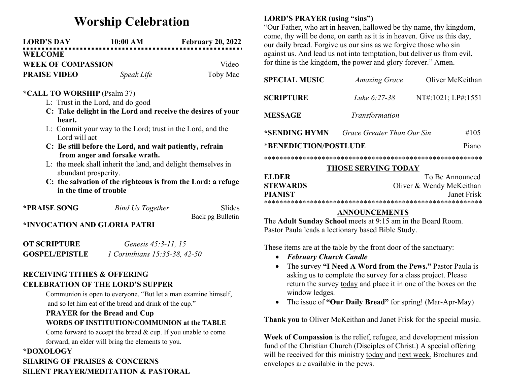# Worship Celebration

| <b>LORD'S DAY</b>         | $10:00~\mathrm{AM}$ | <b>February 20, 2022</b> |
|---------------------------|---------------------|--------------------------|
| <b>WELCOME</b>            |                     |                          |
| <b>WEEK OF COMPASSION</b> |                     | Video                    |
| <b>PRAISE VIDEO</b>       | Speak Life          | Toby Mac                 |

#### \*CALL TO WORSHIP (Psalm 37)

- L: Trust in the Lord, and do good
- C: Take delight in the Lord and receive the desires of your heart.
- L: Commit your way to the Lord; trust in the Lord, and the Lord will act
- C: Be still before the Lord, and wait patiently, refrain from anger and forsake wrath.
- L: the meek shall inherit the land, and delight themselves in abundant prosperity.
- C: the salvation of the righteous is from the Lord: a refuge in the time of trouble

| *PRAISE SONG                 | <b>Bind Us Together</b> | Slides           |
|------------------------------|-------------------------|------------------|
|                              |                         | Back pg Bulletin |
| *INVOCATION AND GLORIA PATRI |                         |                  |

| <b>OT SCRIPTURE</b>   | Genesis 45:3-11, 15                  |
|-----------------------|--------------------------------------|
| <b>GOSPEL/EPISTLE</b> | <i>I</i> Corinthians 15:35-38, 42-50 |

## RECEIVING TITHES & OFFERING CELEBRATION OF THE LORD'S SUPPER

Communion is open to everyone. "But let a man examine himself, and so let him eat of the bread and drink of the cup."

#### PRAYER for the Bread and Cup WORDS OF INSTITUTION/COMMUNION at the TABLE

Come forward to accept the bread & cup. If you unable to come forward, an elder will bring the elements to you.

# \*DOXOLOGY SHARING OF PRAISES & CONCERNS SILENT PRAYER/MEDITATION & PASTORAL

## LORD'S PRAYER (using "sins")

"Our Father, who art in heaven, hallowed be thy name, thy kingdom, come, thy will be done, on earth as it is in heaven. Give us this day, our daily bread. Forgive us our sins as we forgive those who sin against us. And lead us not into temptation, but deliver us from evil, for thine is the kingdom, the power and glory forever." Amen.

| <b>SPECIAL MUSIC</b>           | <b>Amazing Grace</b>       | Oliver McKeithan   |
|--------------------------------|----------------------------|--------------------|
| <b>SCRIPTURE</b>               | Luke 6:27-38               | NT#:1021; LP#:1551 |
| <b>MESSAGE</b>                 | Transformation             |                    |
| *SENDING HYMN                  | Grace Greater Than Our Sin | #105               |
| *BENEDICTION/POSTLUDE<br>Piano |                            |                    |
|                                |                            |                    |

#### THOSE SERVING TODAY

| <b>ELDER</b>    | To Be Announced          |  |
|-----------------|--------------------------|--|
| <b>STEWARDS</b> | Oliver & Wendy McKeithan |  |
| <b>PIANIST</b>  | Janet Frisk              |  |
|                 |                          |  |

### ANNOUNCEMENTS

The Adult Sunday School meets at 9:15 am in the Board Room. Pastor Paula leads a lectionary based Bible Study.

These items are at the table by the front door of the sanctuary:

- February Church Candle
- The survey "I Need A Word from the Pews." Pastor Paula is asking us to complete the survey for a class project. Please return the survey today and place it in one of the boxes on the window ledges.
- The issue of "Our Daily Bread" for spring! (Mar-Apr-May)

Thank you to Oliver McKeithan and Janet Frisk for the special music.

Week of Compassion is the relief, refugee, and development mission fund of the Christian Church (Disciples of Christ.) A special offering will be received for this ministry today and next week. Brochures and envelopes are available in the pews.